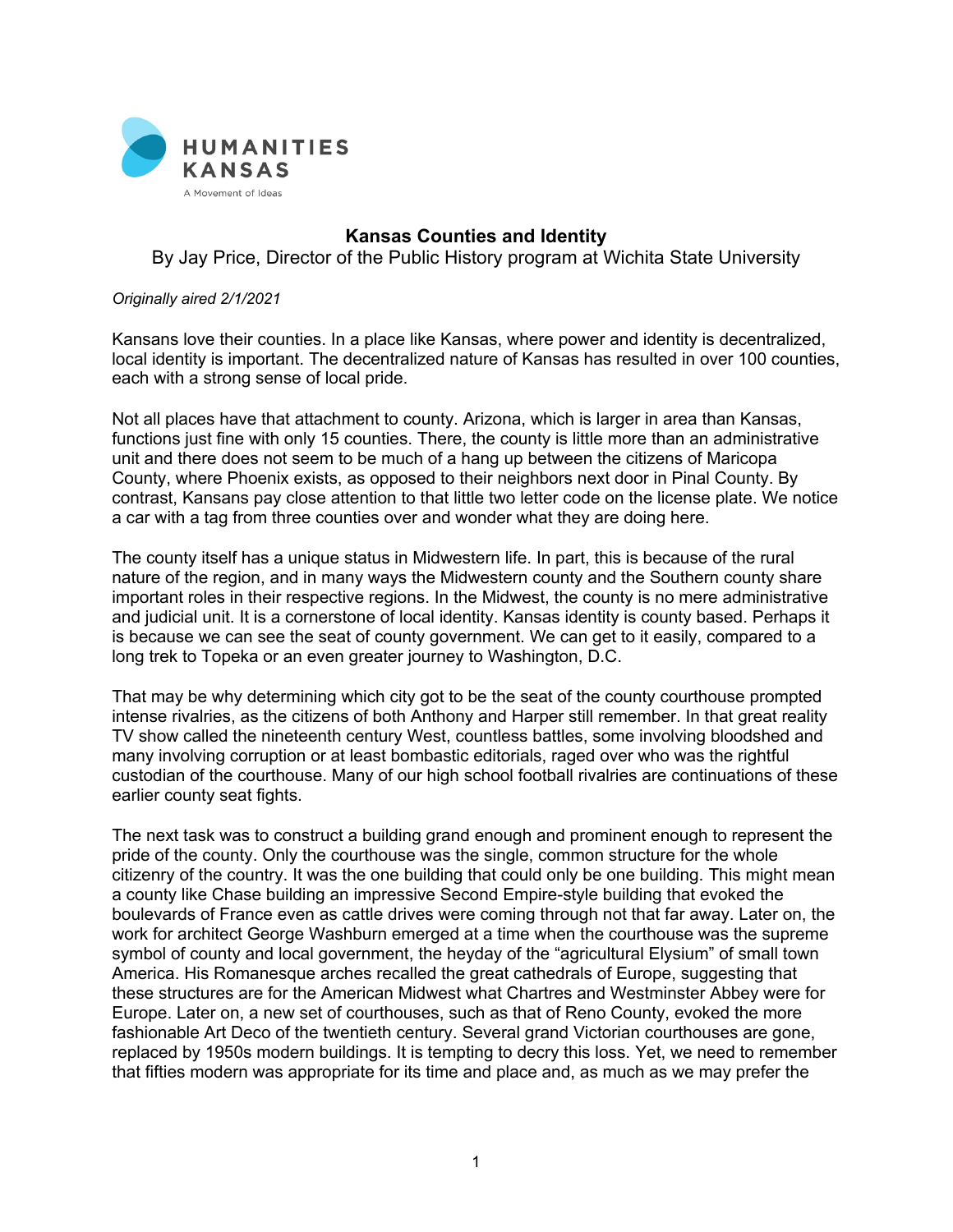

## **Kansas Counties and Identity**

By Jay Price, Director of the Public History program at Wichita State University

## *Originally aired 2/1/2021*

Kansans love their counties. In a place like Kansas, where power and identity is decentralized, local identity is important. The decentralized nature of Kansas has resulted in over 100 counties, each with a strong sense of local pride.

Not all places have that attachment to county. Arizona, which is larger in area than Kansas, functions just fine with only 15 counties. There, the county is little more than an administrative unit and there does not seem to be much of a hang up between the citizens of Maricopa County, where Phoenix exists, as opposed to their neighbors next door in Pinal County. By contrast, Kansans pay close attention to that little two letter code on the license plate. We notice a car with a tag from three counties over and wonder what they are doing here.

The county itself has a unique status in Midwestern life. In part, this is because of the rural nature of the region, and in many ways the Midwestern county and the Southern county share important roles in their respective regions. In the Midwest, the county is no mere administrative and judicial unit. It is a cornerstone of local identity. Kansas identity is county based. Perhaps it is because we can see the seat of county government. We can get to it easily, compared to a long trek to Topeka or an even greater journey to Washington, D.C.

That may be why determining which city got to be the seat of the county courthouse prompted intense rivalries, as the citizens of both Anthony and Harper still remember. In that great reality TV show called the nineteenth century West, countless battles, some involving bloodshed and many involving corruption or at least bombastic editorials, raged over who was the rightful custodian of the courthouse. Many of our high school football rivalries are continuations of these earlier county seat fights.

The next task was to construct a building grand enough and prominent enough to represent the pride of the county. Only the courthouse was the single, common structure for the whole citizenry of the country. It was the one building that could only be one building. This might mean a county like Chase building an impressive Second Empire-style building that evoked the boulevards of France even as cattle drives were coming through not that far away. Later on, the work for architect George Washburn emerged at a time when the courthouse was the supreme symbol of county and local government, the heyday of the "agricultural Elysium" of small town America. His Romanesque arches recalled the great cathedrals of Europe, suggesting that these structures are for the American Midwest what Chartres and Westminster Abbey were for Europe. Later on, a new set of courthouses, such as that of Reno County, evoked the more fashionable Art Deco of the twentieth century. Several grand Victorian courthouses are gone, replaced by 1950s modern buildings. It is tempting to decry this loss. Yet, we need to remember that fifties modern was appropriate for its time and place and, as much as we may prefer the